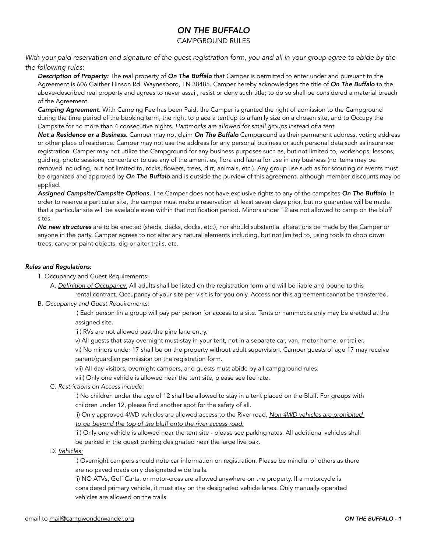### CAMPGROUND RULES

*With your paid reservation and signature of the guest registration form, you and all in your group agree to abide by the the following rules:* 

*Description of Property:* The real property of *On The Buffalo* that Camper is permitted to enter under and pursuant to the Agreement is 606 Gaither Hinson Rd. Waynesboro, TN 38485. Camper hereby acknowledges the title of *On The Buffalo* to the above-described real property and agrees to never assail, resist or deny such title; to do so shall be considered a material breach of the Agreement.

*Camping Agreement.* With Camping Fee has been Paid, the Camper is granted the right of admission to the Campground during the time period of the booking term, the right to place a tent up to a family size on a chosen site, and to Occupy the Campsite for no more than 4 consecutive nights. *Hammocks are allowed for small groups instead of a tent.*

*Not a Residence or a Business.* Camper may not claim *On The Buffalo* Campground as their permanent address, voting address or other place of residence. Camper may not use the address for any personal business or such personal data such as insurance registration. Camper may not utilize the Campground for any business purposes such as, but not limited to, workshops, lessons, guiding, photo sessions, concerts or to use any of the amenities, flora and fauna for use in any business (no items may be removed including, but not limited to, rocks, flowers, trees, dirt, animals, etc.). Any group use such as for scouting or events must be organized and approved by *On The Buffalo* and is outside the purview of this agreement, although member discounts may be applied.

*Assigned Campsite/Campsite Options.* The Camper does not have exclusive rights to any of the campsites *On The Buffalo*. In order to reserve a particular site, the camper must make a reservation at least seven days prior, but no guarantee will be made that a particular site will be available even within that notification period. Minors under 12 are not allowed to camp on the bluff sites.

*No new structures* are to be erected (sheds, decks, docks, etc.), nor should substantial alterations be made by the Camper or anyone in the party. Camper agrees to not alter any natural elements including, but not limited to, using tools to chop down trees, carve or paint objects, dig or alter trails, etc.

#### *Rules and Regulations:*

- 1. Occupancy and Guest Requirements:
	- A. *Definition of Occupancy:* All adults shall be listed on the registration form and will be liable and bound to this

 rental contract. Occupancy of your site per visit is for you only. Access nor this agreement cannot be transferred. B. *Occupancy and Guest Requirements:*

> i) Each person Iin a group will pay per person for access to a site. Tents or hammocks only may be erected at the assigned site.

iii) RVs are not allowed past the pine lane entry.

v) All guests that stay overnight must stay in your tent, not in a separate car, van, motor home, or trailer.

 vi) No minors under 17 shall be on the property without adult supervision. Camper guests of age 17 may receive parent/guardian permission on the registration form.

vii) All day visitors, overnight campers, and guests must abide by all campground rules.

viii) Only one vehicle is allowed near the tent site, please see fee rate.

C. *Restrictions on Access include:*

 i) No children under the age of 12 shall be allowed to stay in a tent placed on the Bluff. For groups with children under 12, please find another spot for the safety of all.

 ii) Only approved 4WD vehicles are allowed access to the River road. *Non 4WD vehicles are prohibited to go beyond the top of the bluff onto the river access road.*

 iii) Only one vehicle is allowed near the tent site - please see parking rates. All additional vehicles shall be parked in the guest parking designated near the large live oak.

D. *Vehicles:*

 i) Overnight campers should note car information on registration. Please be mindful of others as there are no paved roads only designated wide trails.

 ii) NO ATVs, Golf Carts, or motor-cross are allowed anywhere on the property. If a motorcycle is considered primary vehicle, it must stay on the designated vehicle lanes. Only manually operated vehicles are allowed on the trails.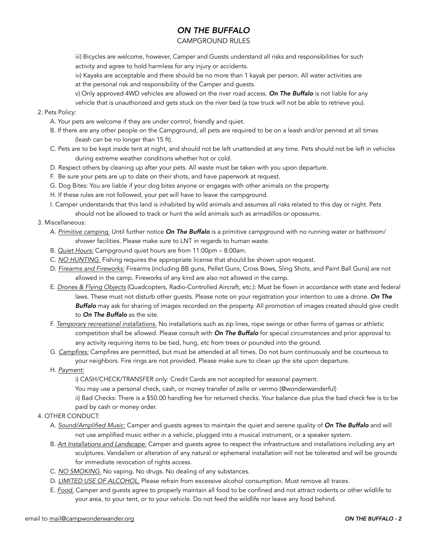### CAMPGROUND RULES

 iii) Bicycles are welcome, however, Camper and Guests understand all risks and responsibilities for such activity and agree to hold harmless for any injury or accidents.

 iv) Kayaks are acceptable and there should be no more than 1 kayak per person. All water activities are at the personal risk and responsibility of the Camper and guests.

v) Only approved 4WD vehicles are allowed on the river road access. *On The Buffalo* is not liable for any

vehicle that is unauthorized and gets stuck on the river bed (a tow truck will not be able to retrieve you).

#### 2. Pets Policy:

- A. Your pets are welcome if they are under control, friendly and quiet.
- B. If there are any other people on the Campground, all pets are required to be on a leash and/or penned at all times (leash can be no longer than 15 ft).
- C. Pets are to be kept inside tent at night, and should not be left unattended at any time. Pets should not be left in vehicles during extreme weather conditions whether hot or cold.
- D. Respect others by cleaning up after your pets. All waste must be taken with you upon departure.
- F. Be sure your pets are up to date on their shots, and have paperwork at request.
- G. Dog Bites: You are liable if your dog bites anyone or engages with other animals on the property.
- H. If these rules are not followed, your pet will have to leave the campground.
- I. Camper understands that this land is inhabited by wild animals and assumes all risks related to this day or night. Pets should not be allowed to track or hunt the wild animals such as armadillos or opossums.

#### 3. Miscellaneous:

- A. *Primitive camping.* Until further notice *On The Buffalo* is a primitive campground with no running water or bathroom/ shower facilities. Please make sure to LNT in regards to human waste.
- B. *Quiet Hours:* Campground quiet hours are from 11:00pm 8:00am.
- C. *NO HUNTING.* Fishing requires the appropriate license that should be shown upon request.
- D. *Firearms and Fireworks:* Firearms (including BB guns, Pellet Guns, Cross Bows, Sling Shots, and Paint Ball Guns) are not allowed in the camp. Fireworks of any kind are also not allowed in the camp.
- E. *Drones & Flying Objects* (Quadcopters, Radio-Controlled Aircraft, etc.): Must be flown in accordance with state and federal laws. These must not disturb other guests. Please note on your registration your intention to use a drone. *On The Buffalo* may ask for sharing of images recorded on the property. All promotion of images created should give credit to *On The Buffalo* as the site.
- F. *Temporary recreational installations.* No installations such as zip lines, rope swings or other forms of games or athletic competition shall be allowed. Please consult with *On The Buffalo* for special circumstances and prior approval to any activity requiring items to be tied, hung, etc from trees or pounded into the ground.
- G. *Campfires:* Campfires are permitted, but must be attended at all times. Do not burn continuously and be courteous to your neighbors. Fire rings are not provided. Please make sure to clean up the site upon departure.
- H. *Payment:*

i) CASH/CHECK/TRANSFER only: Credit Cards are not accepted for seasonal payment.

You may use a personal check, cash, or money transfer of zelle or venmo (@wonderwanderful)

 ii) Bad Checks: There is a \$50.00 handling fee for returned checks. Your balance due plus the bad check fee is to be paid by cash or money order.

- 4. OTHER CONDUCT:
	- A. *Sound/Amplified Music:* Camper and guests agrees to maintain the quiet and serene quality of *On The Buffalo* and will not use amplified music either in a vehicle, plugged into a musical instrument, or a speaker system.
	- B. *Art Installations and Landscape:* Camper and guests agree to respect the infrastructure and installations including any art sculptures. Vandalism or alteration of any natural or ephemeral installation will not be tolerated and will be grounds for immediate revocation of rights access.
	- C. *NO SMOKING.* No vaping. No drugs. No dealing of any substances.
	- D. *LIMITED USE OF ALCOHOL.* Please refrain from excessive alcohol consumption. Must remove all traces.
	- E. *Food.* Camper and guests agree to properly maintain all food to be confined and not attract rodents or other wildlife to your area, to your tent, or to your vehicle. Do not feed the wildlife nor leave any food behind.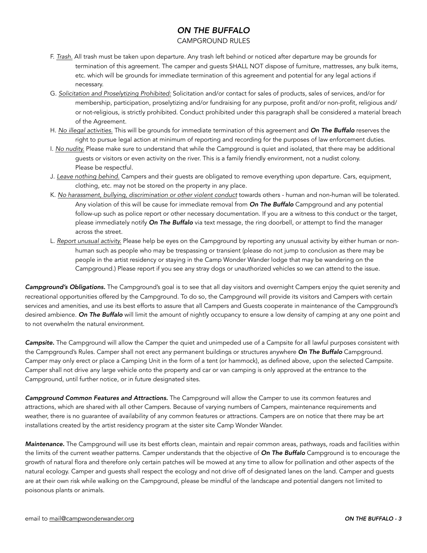### CAMPGROUND RULES

- F. *Trash.* All trash must be taken upon departure. Any trash left behind or noticed after departure may be grounds for termination of this agreement. The camper and guests SHALL NOT dispose of furniture, mattresses, any bulk items, etc. which will be grounds for immediate termination of this agreement and potential for any legal actions if necessary.
- G. *Solicitation and Proselytizing Prohibited:* Solicitation and/or contact for sales of products, sales of services, and/or for membership, participation, proselytizing and/or fundraising for any purpose, profit and/or non-profit, religious and/ or not-religious, is strictly prohibited. Conduct prohibited under this paragraph shall be considered a material breach of the Agreement.
- H. *No illegal activities.* This will be grounds for immediate termination of this agreement and *On The Buffalo* reserves the right to pursue legal action at minimum of reporting and recording for the purposes of law enforcement duties.
- I. *No nudity.* Please make sure to understand that while the Campground is quiet and isolated, that there may be additional guests or visitors or even activity on the river. This is a family friendly environment, not a nudist colony. Please be respectful.
- J. *Leave nothing behind.* Campers and their guests are obligated to remove everything upon departure. Cars, equipment, clothing, etc. may not be stored on the property in any place.
- K. *No harassment, bullying, discrimination or other violent conduct* towards others human and non-human will be tolerated. Any violation of this will be cause for immediate removal from *On The Buffalo* Campground and any potential follow-up such as police report or other necessary documentation. If you are a witness to this conduct or the target, please immediately notify *On The Buffalo* via text message, the ring doorbell, or attempt to find the manager across the street.
- L. *Report unusual activity.* Please help be eyes on the Campground by reporting any unusual activity by either human or non human such as people who may be trespassing or transient (please do not jump to conclusion as there may be people in the artist residency or staying in the Camp Wonder Wander lodge that may be wandering on the Campground.) Please report if you see any stray dogs or unauthorized vehicles so we can attend to the issue.

*Campground's Obligations.* The Campground's goal is to see that all day visitors and overnight Campers enjoy the quiet serenity and recreational opportunities offered by the Campground. To do so, the Campground will provide its visitors and Campers with certain services and amenities, and use its best efforts to assure that all Campers and Guests cooperate in maintenance of the Campground's desired ambience. *On The Buffalo* will limit the amount of nightly occupancy to ensure a low density of camping at any one point and to not overwhelm the natural environment.

*Campsite.* The Campground will allow the Camper the quiet and unimpeded use of a Campsite for all lawful purposes consistent with the Campground's Rules. Camper shall not erect any permanent buildings or structures anywhere *On The Buffalo* Campground. Camper may only erect or place a Camping Unit in the form of a tent (or hammock), as defined above, upon the selected Campsite. Camper shall not drive any large vehicle onto the property and car or van camping is only approved at the entrance to the Campground, until further notice, or in future designated sites.

*Campground Common Features and Attractions.* The Campground will allow the Camper to use its common features and attractions, which are shared with all other Campers. Because of varying numbers of Campers, maintenance requirements and weather, there is no guarantee of availability of any common features or attractions. Campers are on notice that there may be art installations created by the artist residency program at the sister site Camp Wonder Wander.

*Maintenance.* The Campground will use its best efforts clean, maintain and repair common areas, pathways, roads and facilities within the limits of the current weather patterns. Camper understands that the objective of *On The Buffalo* Campground is to encourage the growth of natural flora and therefore only certain patches will be mowed at any time to allow for pollination and other aspects of the natural ecology. Camper and guests shall respect the ecology and not drive off of designated lanes on the land. Camper and guests are at their own risk while walking on the Campground, please be mindful of the landscape and potential dangers not limited to poisonous plants or animals.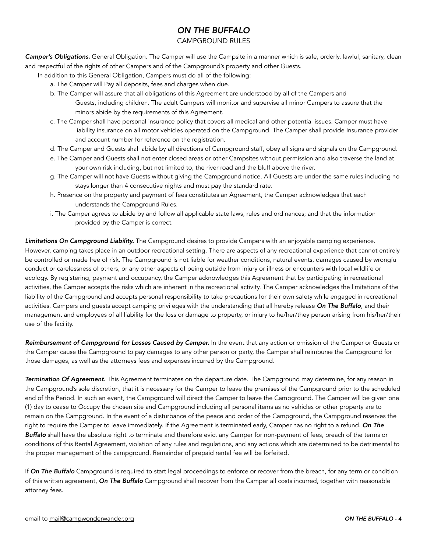## CAMPGROUND RULES

*Camper's Obligations.* General Obligation. The Camper will use the Campsite in a manner which is safe, orderly, lawful, sanitary, clean and respectful of the rights of other Campers and of the Campground's property and other Guests.

In addition to this General Obligation, Campers must do all of the following:

- a. The Camper will Pay all deposits, fees and charges when due.
- b. The Camper will assure that all obligations of this Agreement are understood by all of the Campers and Guests, including children. The adult Campers will monitor and supervise all minor Campers to assure that the minors abide by the requirements of this Agreement.
- c. The Camper shall have personal insurance policy that covers all medical and other potential issues. Camper must have liability insurance on all motor vehicles operated on the Campground. The Camper shall provide Insurance provider and account number for reference on the registration.
- d. The Camper and Guests shall abide by all directions of Campground staff, obey all signs and signals on the Campground.
- e. The Camper and Guests shall not enter closed areas or other Campsites without permission and also traverse the land at your own risk including, but not limited to, the river road and the bluff above the river.
- g. The Camper will not have Guests without giving the Campground notice. All Guests are under the same rules including no stays longer than 4 consecutive nights and must pay the standard rate.
- h. Presence on the property and payment of fees constitutes an Agreement, the Camper acknowledges that each understands the Campground Rules.
- i. The Camper agrees to abide by and follow all applicable state laws, rules and ordinances; and that the information provided by the Camper is correct.

*Limitations On Campground Liability.* The Campground desires to provide Campers with an enjoyable camping experience. However, camping takes place in an outdoor recreational setting. There are aspects of any recreational experience that cannot entirely be controlled or made free of risk. The Campground is not liable for weather conditions, natural events, damages caused by wrongful conduct or carelessness of others, or any other aspects of being outside from injury or illness or encounters with local wildlife or ecology. By registering, payment and occupancy, the Camper acknowledges this Agreement that by participating in recreational activities, the Camper accepts the risks which are inherent in the recreational activity. The Camper acknowledges the limitations of the liability of the Campground and accepts personal responsibility to take precautions for their own safety while engaged in recreational activities. Campers and guests accept camping privileges with the understanding that all hereby release *On The Buffalo*, and their management and employees of all liability for the loss or damage to property, or injury to he/her/they person arising from his/her/their use of the facility.

*Reimbursement of Campground for Losses Caused by Camper.* In the event that any action or omission of the Camper or Guests or the Camper cause the Campground to pay damages to any other person or party, the Camper shall reimburse the Campground for those damages, as well as the attorneys fees and expenses incurred by the Campground.

*Termination Of Agreement.* This Agreement terminates on the departure date. The Campground may determine, for any reason in the Campground's sole discretion, that it is necessary for the Camper to leave the premises of the Campground prior to the scheduled end of the Period. In such an event, the Campground will direct the Camper to leave the Campground. The Camper will be given one (1) day to cease to Occupy the chosen site and Campground including all personal items as no vehicles or other property are to remain on the Campground. In the event of a disturbance of the peace and order of the Campground, the Campground reserves the right to require the Camper to leave immediately. If the Agreement is terminated early, Camper has no right to a refund. *On The Buffalo* shall have the absolute right to terminate and therefore evict any Camper for non-payment of fees, breach of the terms or conditions of this Rental Agreement, violation of any rules and regulations, and any actions which are determined to be detrimental to the proper management of the campground. Remainder of prepaid rental fee will be forfeited.

If *On The Buffalo* Campground is required to start legal proceedings to enforce or recover from the breach, for any term or condition of this written agreement, *On The Buffalo* Campground shall recover from the Camper all costs incurred, together with reasonable attorney fees.